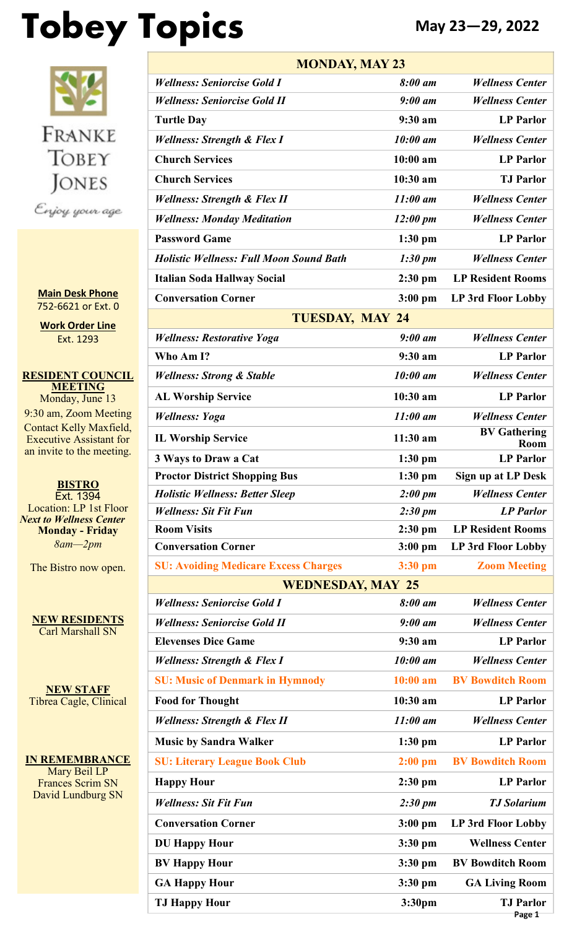# **Tobey Topics May 23—29, 2022**

FRANKE TOBEY **JONES** Enjoy your age

**Main Desk Phone** 752-6621 or Ext. 0

**Work Order Line** Ext. 1293

**RESIDENT COUNCIL MEETING** Monday, June 13 9:30 am, Zoom Meeting Contact Kelly Maxfield, Executive Assistant for an invite to the meeting.

**BISTRO** Ext. 1394 Location: LP 1st Floor *Next to Wellness Center* **Monday - Friday** *8am—2pm*

The Bistro now open.

**NEW RESIDENTS** Carl Marshall SN

**NEW STAFF** Tibrea Cagle, Clinical

**IN REMEMBRANCE** Mary Beil LP Frances Scrim SN David Lundburg SN

| <b>MONDAY, MAY 23</b>                          |                    |                             |  |  |  |  |  |  |
|------------------------------------------------|--------------------|-----------------------------|--|--|--|--|--|--|
| <b>Wellness: Seniorcise Gold I</b>             | 8:00 am            | <b>Wellness Center</b>      |  |  |  |  |  |  |
| <b>Wellness: Seniorcise Gold II</b>            | $9:00$ am          | <b>Wellness Center</b>      |  |  |  |  |  |  |
| <b>Turtle Day</b>                              | 9:30 am            | <b>LP Parlor</b>            |  |  |  |  |  |  |
| <b>Wellness: Strength &amp; Flex I</b>         | 10:00 am           | <b>Wellness Center</b>      |  |  |  |  |  |  |
| <b>Church Services</b>                         | $10:00$ am         | <b>LP</b> Parlor            |  |  |  |  |  |  |
| <b>Church Services</b>                         | 10:30 am           | <b>TJ</b> Parlor            |  |  |  |  |  |  |
| Wellness: Strength & Flex II                   | $11:00$ am         | <b>Wellness Center</b>      |  |  |  |  |  |  |
| <b>Wellness: Monday Meditation</b>             | $12:00 \text{ pm}$ | <b>Wellness Center</b>      |  |  |  |  |  |  |
| <b>Password Game</b>                           | $1:30$ pm          | <b>LP</b> Parlor            |  |  |  |  |  |  |
| <b>Holistic Wellness: Full Moon Sound Bath</b> | $1:30 \text{ pm}$  | <b>Wellness Center</b>      |  |  |  |  |  |  |
| <b>Italian Soda Hallway Social</b>             | 2:30 pm            | <b>LP Resident Rooms</b>    |  |  |  |  |  |  |
| <b>Conversation Corner</b>                     | $3:00$ pm          | LP 3rd Floor Lobby          |  |  |  |  |  |  |
| <b>TUESDAY, MAY 24</b>                         |                    |                             |  |  |  |  |  |  |
| <b>Wellness: Restorative Yoga</b>              | $9:00 \text{ } am$ | <b>Wellness Center</b>      |  |  |  |  |  |  |
| Who Am I?                                      | 9:30 am            | <b>LP</b> Parlor            |  |  |  |  |  |  |
| <b>Wellness: Strong &amp; Stable</b>           | 10:00 am           | <b>Wellness Center</b>      |  |  |  |  |  |  |
| <b>AL Worship Service</b>                      | 10:30 am           | <b>LP</b> Parlor            |  |  |  |  |  |  |
| <b>Wellness: Yoga</b>                          | $11:00$ am         | <b>Wellness Center</b>      |  |  |  |  |  |  |
| <b>IL Worship Service</b>                      | $11:30$ am         | <b>BV Gathering</b><br>Room |  |  |  |  |  |  |
| 3 Ways to Draw a Cat                           | $1:30$ pm          | <b>LP Parlor</b>            |  |  |  |  |  |  |
| <b>Proctor District Shopping Bus</b>           | $1:30$ pm          | Sign up at LP Desk          |  |  |  |  |  |  |
| <b>Holistic Wellness: Better Sleep</b>         | 2:00~pm            | <b>Wellness Center</b>      |  |  |  |  |  |  |
| <b>Wellness: Sit Fit Fun</b>                   | $2:30 \text{ pm}$  | <b>LP</b> Parlor            |  |  |  |  |  |  |
| <b>Room Visits</b>                             | 2:30 pm            | <b>LP Resident Rooms</b>    |  |  |  |  |  |  |
| <b>Conversation Corner</b>                     | $3:00$ pm          | <b>LP 3rd Floor Lobby</b>   |  |  |  |  |  |  |
| <b>SU: Avoiding Medicare Excess Charges</b>    | 3:30 pm            | <b>Zoom Meeting</b>         |  |  |  |  |  |  |
| <b>WEDNESDAY, MAY 25</b>                       |                    |                             |  |  |  |  |  |  |
| <b>Wellness: Seniorcise Gold I</b>             | 8:00 am            | <b>Wellness Center</b>      |  |  |  |  |  |  |
| <b>Wellness: Seniorcise Gold II</b>            | $9:00$ am          | <b>Wellness Center</b>      |  |  |  |  |  |  |
| <b>Elevenses Dice Game</b>                     | 9:30 am            | <b>LP</b> Parlor            |  |  |  |  |  |  |
| <b>Wellness: Strength &amp; Flex I</b>         | 10:00 am           | <b>Wellness Center</b>      |  |  |  |  |  |  |
| <b>SU: Music of Denmark in Hymnody</b>         | $10:00$ am         | <b>BV Bowditch Room</b>     |  |  |  |  |  |  |
| <b>Food for Thought</b>                        | 10:30 am           | <b>LP</b> Parlor            |  |  |  |  |  |  |
| <b>Wellness: Strength &amp; Flex II</b>        | $11:00$ am         | <b>Wellness Center</b>      |  |  |  |  |  |  |
| <b>Music by Sandra Walker</b>                  | $1:30$ pm          | <b>LP</b> Parlor            |  |  |  |  |  |  |
| <b>SU: Literary League Book Club</b>           | $2:00$ pm          | <b>BV Bowditch Room</b>     |  |  |  |  |  |  |
| <b>Happy Hour</b>                              | $2:30$ pm          | <b>LP</b> Parlor            |  |  |  |  |  |  |
| <b>Wellness: Sit Fit Fun</b>                   | $2:30 \text{ pm}$  | <b>TJ</b> Solarium          |  |  |  |  |  |  |
| <b>Conversation Corner</b>                     | $3:00$ pm          | <b>LP 3rd Floor Lobby</b>   |  |  |  |  |  |  |
| <b>DU Happy Hour</b>                           | $3:30$ pm          | <b>Wellness Center</b>      |  |  |  |  |  |  |
| <b>BV Happy Hour</b>                           | $3:30$ pm          | <b>BV Bowditch Room</b>     |  |  |  |  |  |  |
| <b>GA Happy Hour</b>                           | $3:30$ pm          | <b>GA Living Room</b>       |  |  |  |  |  |  |
| <b>TJ Happy Hour</b>                           | 3:30pm             | <b>TJ</b> Parlor<br>Page 1  |  |  |  |  |  |  |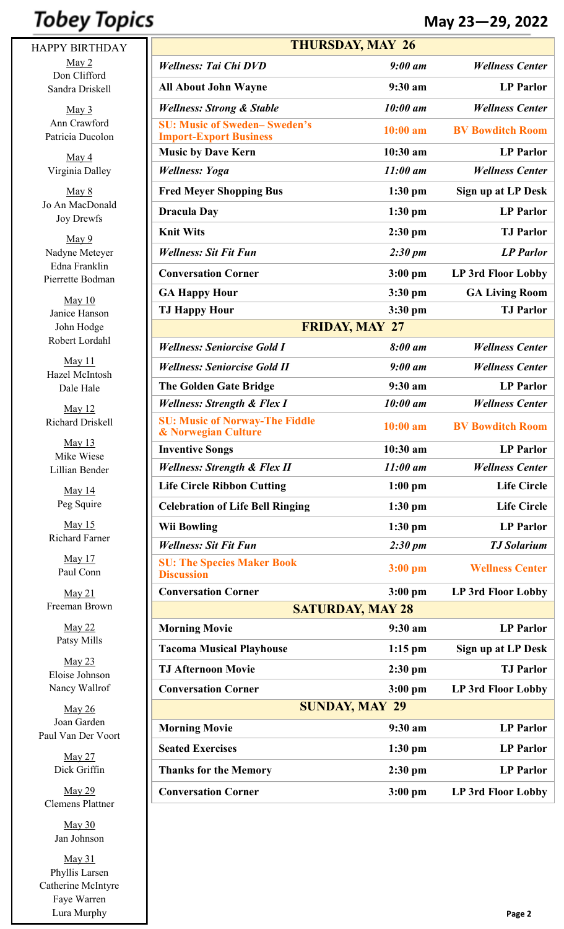## **Tobey Topics**

HAPPY BIRTHDAY May 2 Don Clifford Sandra Driskell

> May 3 Ann Crawford Patricia Ducolon

May 4 Virginia Dalley

May 8 Jo An MacDonald Joy Drewfs

May 9 Nadyne Meteyer Edna Franklin Pierrette Bodman

May 10 Janice Hanson John Hodge Robert Lordahl

May 11 Hazel McIntosh Dale Hale

May 12 Richard Driskell

May 13 Mike Wiese Lillian Bender

> May 14 Peg Squire

May 15 Richard Farner

> May 17 Paul Conn

May 21 Freeman Brown

> May 22 Patsy Mills

May 23 Eloise Johnson Nancy Wallrof

May 26 Joan Garden Paul Van Der Voort

> May 27 Dick Griffin

May 29 Clemens Plattner

> May 30 Jan Johnson

May 31 Phyllis Larsen Catherine McIntyre Faye Warren Lura Murphy

|                                                                         | <b>THURSDAY, MAY 26</b> |                           |  |  |  |  |  |
|-------------------------------------------------------------------------|-------------------------|---------------------------|--|--|--|--|--|
| <b>Wellness: Tai Chi DVD</b>                                            | $9:00$ am               | <b>Wellness Center</b>    |  |  |  |  |  |
| <b>All About John Wayne</b>                                             | 9:30 a m                | <b>LP</b> Parlor          |  |  |  |  |  |
| <b>Wellness: Strong &amp; Stable</b>                                    | $10:00$ am              | <b>Wellness Center</b>    |  |  |  |  |  |
| <b>SU: Music of Sweden-Sweden's</b><br><b>Import-Export Business</b>    | $10:00$ am              | <b>BV Bowditch Room</b>   |  |  |  |  |  |
| <b>Music by Dave Kern</b>                                               | 10:30 am                | <b>LP</b> Parlor          |  |  |  |  |  |
| <b>Wellness: Yoga</b>                                                   | $11:00$ am              | <b>Wellness Center</b>    |  |  |  |  |  |
| <b>Fred Meyer Shopping Bus</b>                                          | $1:30$ pm               | Sign up at LP Desk        |  |  |  |  |  |
| <b>Dracula Day</b>                                                      | $1:30$ pm               | <b>LP</b> Parlor          |  |  |  |  |  |
| <b>Knit Wits</b>                                                        | $2:30$ pm               | <b>TJ</b> Parlor          |  |  |  |  |  |
| <b>Wellness: Sit Fit Fun</b>                                            | $2:30 \text{ pm}$       | <b>LP</b> Parlor          |  |  |  |  |  |
| <b>Conversation Corner</b>                                              | $3:00$ pm               | LP 3rd Floor Lobby        |  |  |  |  |  |
| <b>GA Happy Hour</b>                                                    | 3:30 pm                 | <b>GA Living Room</b>     |  |  |  |  |  |
| <b>TJ Happy Hour</b>                                                    | 3:30 pm                 | <b>TJ Parlor</b>          |  |  |  |  |  |
|                                                                         | <b>FRIDAY, MAY 27</b>   |                           |  |  |  |  |  |
| <b>Wellness: Seniorcise Gold I</b>                                      | 8:00 am                 | <b>Wellness Center</b>    |  |  |  |  |  |
| <b>Wellness: Seniorcise Gold II</b>                                     | $9:00$ am               | <b>Wellness Center</b>    |  |  |  |  |  |
| <b>The Golden Gate Bridge</b>                                           | $9:30$ am               | <b>LP</b> Parlor          |  |  |  |  |  |
| <b>Wellness: Strength &amp; Flex I</b>                                  | $10:00$ am              | <b>Wellness Center</b>    |  |  |  |  |  |
| <b>SU: Music of Norway-The Fiddle</b><br><b>&amp; Norwegian Culture</b> | $10:00$ am              | <b>BV Bowditch Room</b>   |  |  |  |  |  |
| <b>Inventive Songs</b>                                                  | 10:30 am                | <b>LP</b> Parlor          |  |  |  |  |  |
| <b>Wellness: Strength &amp; Flex II</b>                                 | $11:00$ am              | <b>Wellness Center</b>    |  |  |  |  |  |
| <b>Life Circle Ribbon Cutting</b>                                       | $1:00$ pm               | <b>Life Circle</b>        |  |  |  |  |  |
| <b>Celebration of Life Bell Ringing</b>                                 | $1:30$ pm               | <b>Life Circle</b>        |  |  |  |  |  |
| <b>Wii Bowling</b>                                                      | $1:30$ pm               | <b>LP</b> Parlor          |  |  |  |  |  |
| <b>Wellness: Sit Fit Fun</b>                                            | $2:30 \text{ pm}$       | <b>TJ</b> Solarium        |  |  |  |  |  |
| <b>SU: The Species Maker Book</b><br><b>Discussion</b>                  | $3:00$ pm               | <b>Wellness Center</b>    |  |  |  |  |  |
| <b>Conversation Corner</b>                                              | $3:00$ pm               | LP 3rd Floor Lobby        |  |  |  |  |  |
| <b>SATURDAY, MAY 28</b>                                                 |                         |                           |  |  |  |  |  |
| <b>Morning Movie</b>                                                    | $9:30$ am               | <b>LP</b> Parlor          |  |  |  |  |  |
| <b>Tacoma Musical Playhouse</b>                                         | $1:15$ pm               | <b>Sign up at LP Desk</b> |  |  |  |  |  |
| <b>TJ Afternoon Movie</b>                                               | $2:30$ pm               | <b>TJ</b> Parlor          |  |  |  |  |  |
| <b>Conversation Corner</b>                                              | $3:00$ pm               | LP 3rd Floor Lobby        |  |  |  |  |  |
|                                                                         | <b>SUNDAY, MAY 29</b>   |                           |  |  |  |  |  |
| <b>Morning Movie</b>                                                    | $9:30$ am               | <b>LP</b> Parlor          |  |  |  |  |  |
| <b>Seated Exercises</b>                                                 | 1:30 pm                 | <b>LP</b> Parlor          |  |  |  |  |  |

**Thanks for the Memory 2:30 pm LP Parlor**

**Conversation Corner 3:00 pm LP 3rd Floor Lobby**

**May 23—29, 2022**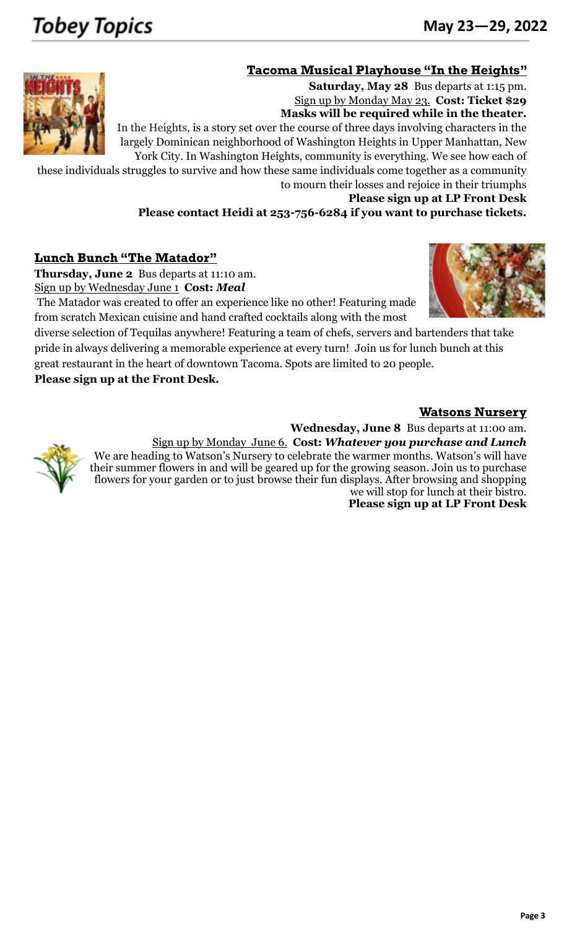#### **Tacoma Musical Playhouse "In the Heights"**



Sign up by Monday May 23. **Cost: Ticket \$29 Masks will be required while in the theater.** In the Heights, is a story set over the course of three days involving characters in the largely [Dominican n](https://en.wikipedia.org/wiki/Culture_of_the_Dominican_Republic)eighborhood of Washington Heights in Upper Manhattan, New York City. In Washington Heights, community is everything. We see how each of

these individuals struggles to survive and how these same individuals come together as a community to mourn their losses and rejoice in their triumphs

**Please sign up at LP Front Desk**

**Saturday, May 28** Bus departs at 1:15 pm.

**Please contact Heidi at 253-756-6284 if you want to purchase tickets.**

#### **Lunch Bunch "The Matador"**

**Thursday, June 2** Bus departs at 11:10 am.

Sign up by Wednesday June 1 **Cost:** *Meal*

 The Matador was created to offer an experience like no other! Featuring made from scratch Mexican cuisine and hand crafted cocktails along with the most

diverse selection of Tequilas anywhere! Featuring a team of chefs, servers and bartenders that take pride in always delivering a memorable experience at every turn! Join us for lunch bunch at this great restaurant in the heart of downtown Tacoma. Spots are limited to 20 people.

**Please sign up at the Front Desk.**

#### **Watsons Nursery**

**Wednesday, June 8** Bus departs at 11:00 am.



Sign up by Monday June 6. **Cost:** *Whatever you purchase and Lunch*

We are heading to Watson's Nursery to celebrate the warmer months. Watson's will have their summer flowers in and will be geared up for the growing season. Join us to purchase flowers for your garden or to just browse their fun displays. After browsing and shopping we will stop for lunch at their bistro.

**Please sign up at LP Front Desk**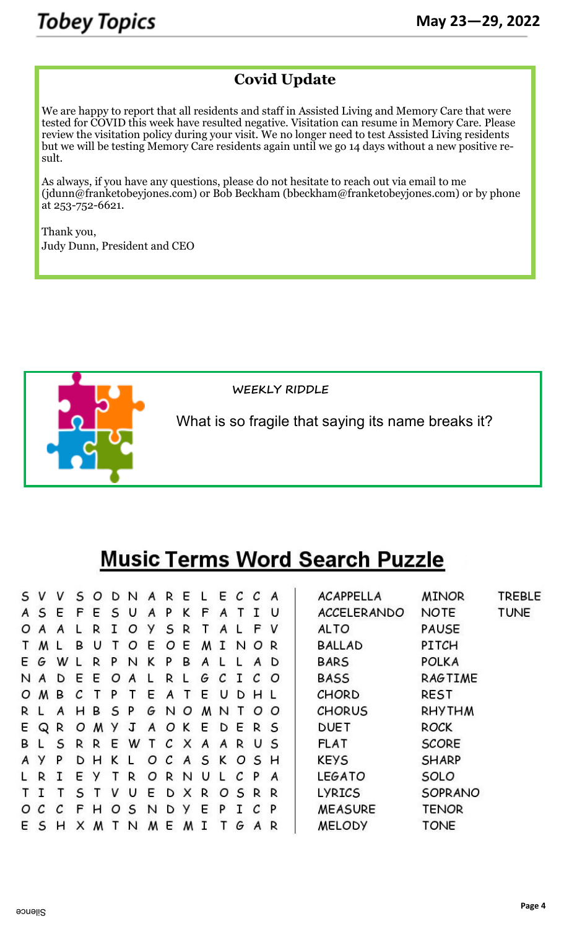### **Covid Update**

We are happy to report that all residents and staff in Assisted Living and Memory Care that were tested for COVID this week have resulted negative. Visitation can resume in Memory Care. Please review the visitation policy during your visit. We no longer need to test Assisted Living residents but we will be testing Memory Care residents again until we go 14 days without a new positive result.

As always, if you have any questions, please do not hesitate to reach out via email to me ([jdunn@franketobeyjones.com\)](mailto:jdunn@franketobeyjones.com) or Bob Beckham ([bbeckham@franketobeyjones.com\)](mailto:bbeckham@franketobeyjones.com) or by phone at 253-752-6621.

Thank you, Judy Dunn, President and CEO



**WEEKLY RIDDLE**

What is so fragile that saying its name breaks it?

## **Music Terms Word Search Puzzle**

| s v |     | v  | S   | $\circ$ | D N |   | A  | R E |         |   |              | E C C A |              |               | <b>ACAPPELLA</b>   | <b>MINOR</b>   | <b>TREBLE</b> |
|-----|-----|----|-----|---------|-----|---|----|-----|---------|---|--------------|---------|--------------|---------------|--------------------|----------------|---------------|
| A S |     | E  | F   | E       | S   | U | A  | P   | K       | F | A            |         |              | U             | <b>ACCELERANDO</b> | <b>NOTE</b>    | <b>TUNE</b>   |
| O A |     | A  |     | R       |     | Ο | У  | S   | R       |   | A            |         | F            | V             | <b>ALTO</b>        | <b>PAUSE</b>   |               |
| Τ   | M L |    | В   | U       |     | O | E  | O   | E       | м | $\mathbf{T}$ | N       | OR           |               | <b>BALLAD</b>      | PITCH          |               |
| E G |     | w  |     | R       | P   | N | ĸ  | P   | в       | A |              |         | A            | D             | <b>BARS</b>        | <b>POLKA</b>   |               |
| N A |     | D  | E   | E       | O   | A | L. | R   |         | G | C            | T       | C            | O             | <b>BASS</b>        | <b>RAGTIME</b> |               |
|     | O M | В  | C   |         | P.  |   | E  | A   |         | E | υ            | D       | H L          |               | CHORD              | <b>REST</b>    |               |
| R L |     | A  | н   | B       | S P |   | G  | N O |         | M | N            | ages .  |              | o o           | <b>CHORUS</b>      | <b>RHYTHM</b>  |               |
|     | E Q | R  | Ο   | M       |     | J | A  | O K |         | E | D            | E       | R S          |               | <b>DUET</b>        | <b>ROCK</b>    |               |
| ΒL  |     | S  | R R |         | E   | W |    |     | T C X A |   | $\mathsf{A}$ | R       | U S          |               | <b>FLAT</b>        | <b>SCORE</b>   |               |
| A Y |     | P  |     | DН      | K   |   | O  |     | C A     | S | K            | O       | S H          |               | <b>KEYS</b>        | <b>SHARP</b>   |               |
| L R |     | T. | E   | У       |     | R | O  | R N |         | U |              | C       | $\mathsf{P}$ | $\mathcal{A}$ | <b>LEGATO</b>      | SOLO           |               |
| тı  |     |    | S   |         | v   | U | E  | D   | X       | R | O            |         | S R R        |               | <b>LYRICS</b>      | SOPRANO        |               |
| o c |     | C  | F.  | н       | O   | S | N  | D   | У       | E | P            |         | C            | P             | <b>MEASURE</b>     | <b>TENOR</b>   |               |
| E S |     | н  | X   | M       |     | N | M  | Ε   | M       |   |              | G       | A R          |               | <b>MELODY</b>      | <b>TONE</b>    |               |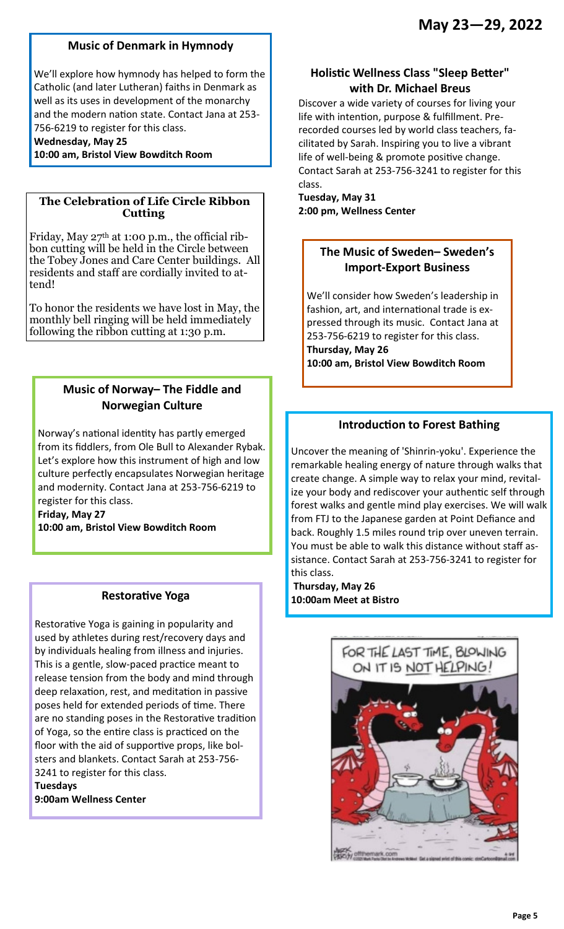#### **Music of Denmark in Hymnody**

We'll explore how hymnody has helped to form the Catholic (and later Lutheran) faiths in Denmark as well as its uses in development of the monarchy and the modern nation state. Contact Jana at 253- 756-6219 to register for this class.

**Wednesday, May 25**

**10:00 am, Bristol View Bowditch Room** 

#### **The Celebration of Life Circle Ribbon Cutting**

Friday, May  $27<sup>th</sup>$  at 1:00 p.m., the official ribbon cutting will be held in the Circle between the Tobey Jones and Care Center buildings. All residents and staff are cordially invited to attend!

To honor the residents we have lost in May, the monthly bell ringing will be held immediately following the ribbon cutting at 1:30 p.m.

#### **Music of Norway– The Fiddle and Norwegian Culture**

Norway's national identity has partly emerged from its fiddlers, from Ole Bull to Alexander Rybak. Let's explore how this instrument of high and low culture perfectly encapsulates Norwegian heritage and modernity. Contact Jana at 253-756-6219 to register for this class.

**Friday, May 27** 

**10:00 am, Bristol View Bowditch Room** 

#### **Restorative Yoga**

Restorative Yoga is gaining in popularity and used by athletes during rest/recovery days and by individuals healing from illness and injuries. This is a gentle, slow-paced practice meant to release tension from the body and mind through deep relaxation, rest, and meditation in passive poses held for extended periods of time. There are no standing poses in the Restorative tradition of Yoga, so the entire class is practiced on the floor with the aid of supportive props, like bolsters and blankets. Contact Sarah at 253-756- 3241 to register for this class. **Tuesdays** 

**9:00am Wellness Center**

#### **Holistic Wellness Class "Sleep Better" with Dr. Michael Breus**

Discover a wide variety of courses for living your life with intention, purpose & fulfillment. Prerecorded courses led by world class teachers, facilitated by Sarah. Inspiring you to live a vibrant life of well-being & promote positive change. Contact Sarah at 253-756-3241 to register for this class.

**Tuesday, May 31 2:00 pm, Wellness Center** 

#### **The Music of Sweden– Sweden's Import-Export Business**

We'll consider how Sweden's leadership in fashion, art, and international trade is expressed through its music. Contact Jana at 253-756-6219 to register for this class. **Thursday, May 26 10:00 am, Bristol View Bowditch Room** 

#### **Introduction to Forest Bathing**

Uncover the meaning of 'Shinrin-yoku'. Experience the remarkable healing energy of nature through walks that create change. A simple way to relax your mind, revitalize your body and rediscover your authentic self through forest walks and gentle mind play exercises. We will walk from FTJ to the Japanese garden at Point Defiance and back. Roughly 1.5 miles round trip over uneven terrain. You must be able to walk this distance without staff assistance. Contact Sarah at 253-756-3241 to register for this class.

**Thursday, May 26 10:00am Meet at Bistro**